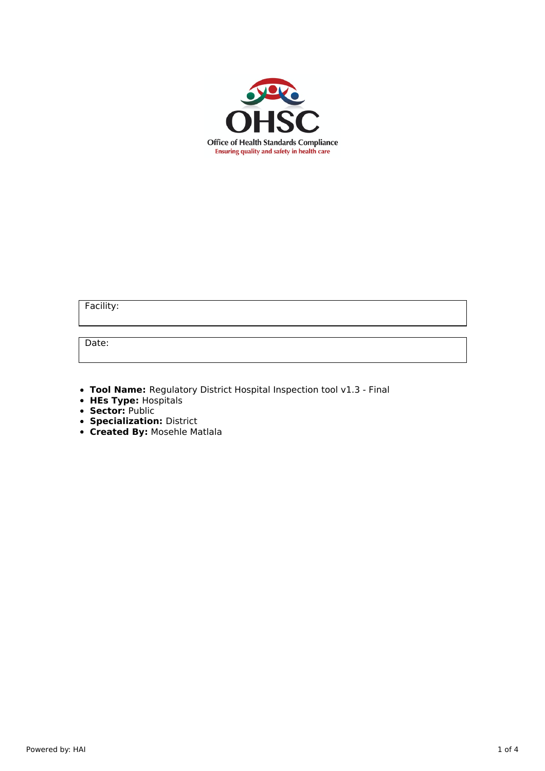

Facility:

Date:

**Tool Name:** Regulatory District Hospital Inspection tool v1.3 - Final

- **HEs Type:** Hospitals
- **Sector:** Public
- **Specialization:** District
- **Created By:** Mosehle Matlala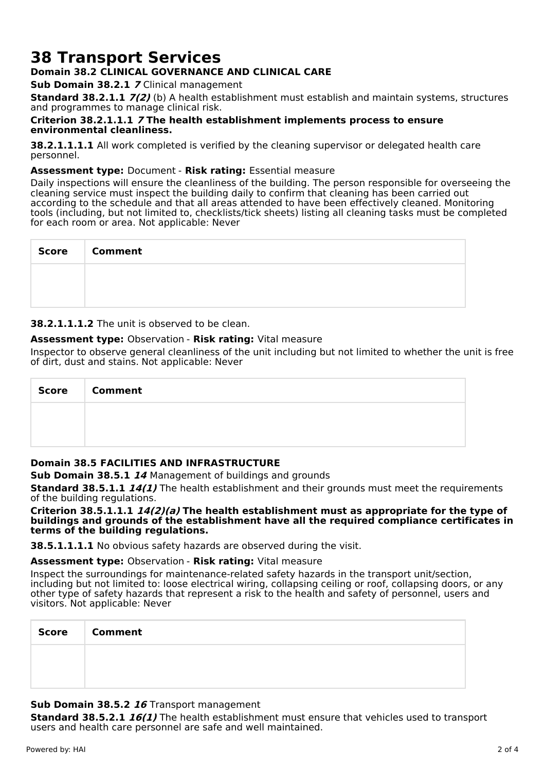# **38 Transport Services**

## **Domain 38.2 CLINICAL GOVERNANCE AND CLINICAL CARE**

**Sub Domain 38.2.1 7** Clinical management

**Standard 38.2.1.1 7(2)** (b) A health establishment must establish and maintain systems, structures and programmes to manage clinical risk.

#### **Criterion 38.2.1.1.1 7 The health establishment implements process to ensure environmental cleanliness.**

**38.2.1.1.1.1** All work completed is verified by the cleaning supervisor or delegated health care personnel.

#### **Assessment type:** Document - **Risk rating:** Essential measure

Daily inspections will ensure the cleanliness of the building. The person responsible for overseeing the cleaning service must inspect the building daily to confirm that cleaning has been carried out according to the schedule and that all areas attended to have been effectively cleaned. Monitoring tools (including, but not limited to, checklists/tick sheets) listing all cleaning tasks must be completed for each room or area. Not applicable: Never

| Score | <b>Comment</b> |
|-------|----------------|
|       |                |
|       |                |

**38.2.1.1.1.2** The unit is observed to be clean.

#### **Assessment type:** Observation - **Risk rating:** Vital measure

Inspector to observe general cleanliness of the unit including but not limited to whether the unit is free of dirt, dust and stains. Not applicable: Never

| <b>Score</b> | <b>Comment</b> |
|--------------|----------------|
|              |                |
|              |                |

## **Domain 38.5 FACILITIES AND INFRASTRUCTURE**

**Sub Domain 38.5.1 14** Management of buildings and grounds

**Standard 38.5.1.1 14(1)** The health establishment and their grounds must meet the requirements of the building regulations.

#### **Criterion 38.5.1.1.1 14(2)(a) The health establishment must as appropriate for the type of buildings and grounds of the establishment have all the required compliance certificates in terms of the building regulations.**

**38.5.1.1.1.1** No obvious safety hazards are observed during the visit.

#### **Assessment type:** Observation - **Risk rating:** Vital measure

Inspect the surroundings for maintenance-related safety hazards in the transport unit/section, including but not limited to: loose electrical wiring, collapsing ceiling or roof, collapsing doors, or any other type of safety hazards that represent a risk to the health and safety of personnel, users and visitors. Not applicable: Never

| <b>Score</b> | <b>Comment</b> |
|--------------|----------------|
|              |                |
|              |                |

## **Sub Domain 38.5.2 16** Transport management

**Standard 38.5.2.1 16(1)** The health establishment must ensure that vehicles used to transport users and health care personnel are safe and well maintained.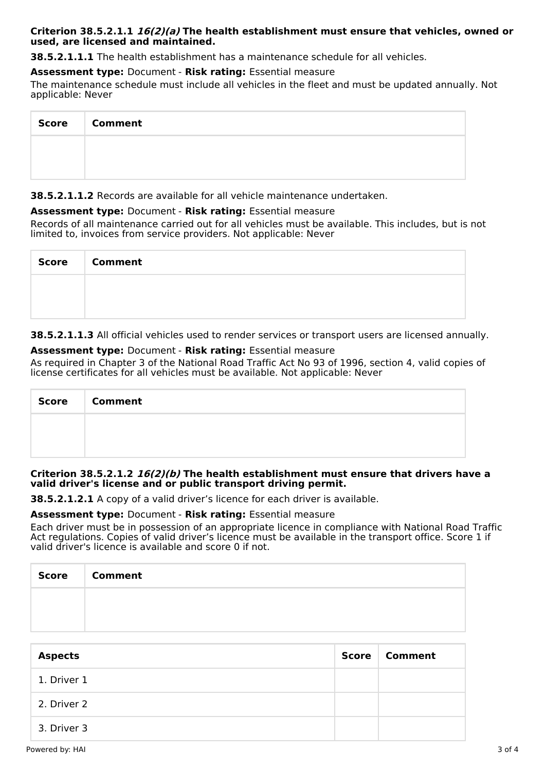#### **Criterion 38.5.2.1.1 16(2)(a) The health establishment must ensure that vehicles, owned or used, are licensed and maintained.**

**38.5.2.1.1.1** The health establishment has a maintenance schedule for all vehicles.

## **Assessment type:** Document - **Risk rating:** Essential measure

The maintenance schedule must include all vehicles in the fleet and must be updated annually. Not applicable: Never

| Score Comment |
|---------------|
|               |
|               |

**38.5.2.1.1.2** Records are available for all vehicle maintenance undertaken.

#### **Assessment type:** Document - **Risk rating:** Essential measure

Records of all maintenance carried out for all vehicles must be available. This includes, but is not limited to, invoices from service providers. Not applicable: Never

| Score   Comment |
|-----------------|
|                 |
|                 |

**38.5.2.1.1.3** All official vehicles used to render services or transport users are licensed annually.

#### **Assessment type:** Document - **Risk rating:** Essential measure

As required in Chapter 3 of the National Road Traffic Act No 93 of 1996, section 4, valid copies of license certificates for all vehicles must be available. Not applicable: Never

| Score Comment |
|---------------|
|               |
|               |

#### **Criterion 38.5.2.1.2 16(2)(b) The health establishment must ensure that drivers have a valid driver's license and or public transport driving permit.**

**38.5.2.1.2.1** A copy of a valid driver's licence for each driver is available.

## **Assessment type:** Document - **Risk rating:** Essential measure

Each driver must be in possession of an appropriate licence in compliance with National Road Traffic Act regulations. Copies of valid driver's licence must be available in the transport office. Score 1 if valid driver's licence is available and score 0 if not.

| Score   Comment |
|-----------------|
|                 |
|                 |

| <b>Aspects</b> | <b>Score</b> | ∣ Comment |
|----------------|--------------|-----------|
| 1. Driver 1    |              |           |
| 2. Driver 2    |              |           |
| 3. Driver 3    |              |           |